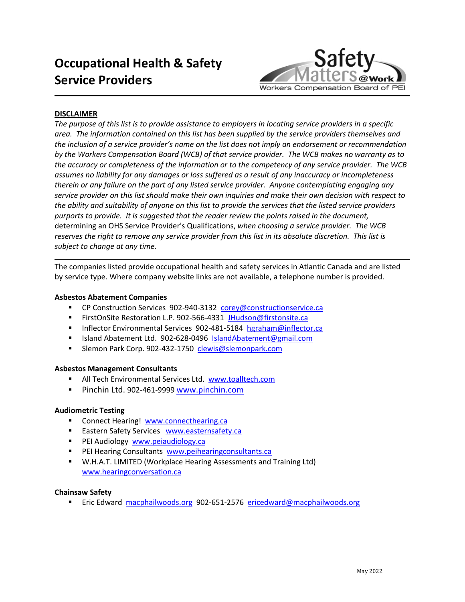# **Occupational Health & Safety Service Providers**



# **DISCLAIMER**

*The purpose of this list is to provide assistance to employers in locating service providers in a specific area. The information contained on this list has been supplied by the service providers themselves and the inclusion of a service provider's name on the list does not imply an endorsement or recommendation by the Workers Compensation Board (WCB) of that service provider. The WCB makes no warranty as to the accuracy or completeness of the information or to the competency of any service provider. The WCB assumes no liability for any damages or loss suffered as a result of any inaccuracy or incompleteness therein or any failure on the part of any listed service provider. Anyone contemplating engaging any service provider on this list should make their own inquiries and make their own decision with respect to the ability and suitability of anyone on this list to provide the services that the listed service providers purports to provide. It is suggested that the reader review the points raised in the document,* determining an OHS Service Provider's Qualifications, *when choosing a service provider. The WCB reserves the right to remove any service provider from this list in its absolute discretion. This list is subject to change at any time.*

The companies listed provide occupational health and safety services in Atlantic Canada and are listed by service type. Where company website links are not available, a telephone number is provided.

#### **Asbestos Abatement Companies**

- CP Construction Services 902-940-3132 [corey@constructionservice.ca](mailto:corey@constructionservice.ca)
- FirstOnSite Restoration L.P. 902-566-4331 [JHudson@firstonsite.ca](mailto:JHudson@firstonsite.ca)
- Inflector Environmental Services 902-481-5184 [hgraham@inflector.ca](mailto:hgraham@inflector.ca)
- Island Abatement Ltd. 902-628-0496 **[IslandAbatement@gmail.com](mailto:IslandAbatement@gmail.com)**
- Slemon Park Corp. 902-432-1750 [clewis@slemonpark.com](mailto:%20clewis@slemonpark.com)

# **Asbestos Management Consultants**

- All Tech Environmental Services Ltd. [www.toalltech.com](http://www.toalltech.com/)
- Pinchin Ltd. 902-461-9999 [www.pinchin.com](http://www.pinchin.com/)

# **Audiometric Testing**

- **Connect Hearing! [www.connecthearing.ca](http://www.connecthearing.ca/)**
- **Eastern Safety Services [www.easternsafety.ca](http://www.easternsafety.ca/)**
- **PEI Audiology [www.peiaudiology.ca](http://www.peiaudiology.ca/)**
- PEI Hearing Consultants [www.peihearingconsultants.ca](http://www.peihearingconsultants.ca/)
- W.H.A.T. LIMITED (Workplace Hearing Assessments and Training Ltd) [www.hearingconversation.ca](http://www.hearingconversation.ca/)

# **Chainsaw Safety**

Eric Edward [macphailwoods.org](https://macphailwoods.org/) 902-651-2576 [ericedward@macphailwoods.org](mailto:ericedward@macphailwoods.org)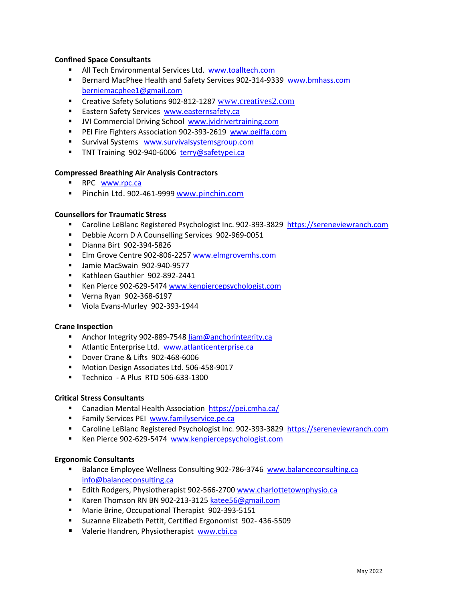# **Confined Space Consultants**

- All Tech Environmental Services Ltd. [www.toalltech.com](http://www.alltechenvironmental.com/)
- **Bernard MacPhee Health and Safety Services 902-314-9339 www.bmhass.com** [berniemacphee1@gmail.com](mailto:berniemacphee1@gmail.com)
- Creative Safety Solutions 902-812-1287 [www.creatives2.com](http://www.creatives2/)
- **Eastern Safety Services [www.easternsafety.ca](http://www.easternsafety.ca/)**
- UVI Commercial Driving School [www.jvidrivertraining.com](http://www.jvidrivertraining.com/)
- **PEI Fire Fighters Association 902-393-2619 www.peiffa.com**
- Survival Systems [www.survivalsystemsgroup.com](http://www.survivalsystemsgroup.com/)
- TNT Training 902-940-6006 [terry@safetypei.ca](mailto:terry@safetypei.ca)

#### **Compressed Breathing Air Analysis Contractors**

- RPC [www.rpc.ca](http://www.rpc.ca/)
- **Pinchin Ltd. 902-461-9999 [www.pinchin.com](http://www.pinchin.com/)**

#### **Counsellors for Traumatic Stress**

- Caroline LeBlanc Registered Psychologist Inc. 902-393-3829 [https://sereneviewranch.com](https://sereneviewranch.com/)
- Debbie Acorn D A Counselling Services 902-969-0051
- **Dianna Birt 902-394-5826**
- Elm Grove Centre 902-806-2257 [www.elmgrovemhs.com](http://www.elmgrovemhs.com/)
- Jamie MacSwain 902-940-9577
- Kathleen Gauthier 902-892-2441
- Ken Pierce 902-629-5474 [www.kenpiercepsychologist.com](http://www.kenpiercepsychologist.com/)
- Verna Ryan 902-368-6197
- Viola Evans-Murley 902-393-1944

#### **Crane Inspection**

- Anchor Integrity 902-889-7548 [liam@anchorintegrity.ca](file://APPSRVR3/Shared_Data/OHS/Administration/liam@anchorintegrity.ca)
- **Atlantic Enterprise Ltd. [www.atlanticenterprise.ca](http://www.atlanticenterprise.ca/)**
- Dover Crane & Lifts 902-468-6006
- **Motion Design Associates Ltd. 506-458-9017**
- Technico A Plus RTD 506-633-1300

# **Critical Stress Consultants**

- Canadian Mental Health Association<https://pei.cmha.ca/>
- **Family Services PEI [www.familyservice.pe.ca](http://www.familyservice.pe.ca/)**
- Caroline LeBlanc Registered Psychologist Inc. 902-393-3829 [https://sereneviewranch.com](https://sereneviewranch.com/)
- Ken Pierce 902-629-5474 [www.kenpiercepsychologist.com](http://www.kenpiercepsychologist.com/)

#### **Ergonomic Consultants**

- Balance Employee Wellness Consulting 902-786-3746 [www.balanceconsulting.ca](http://www.balanceconsulting.ca/)  [info@balanceconsulting.ca](mailto:info@balanceconsulting.ca)
- Edith Rodgers, Physiotherapist 902-566-2700 [www.charlottetownphysio.ca](http://www.charlottetownphysio.ca/)
- Karen Thomson RN BN 902-213-3125 katee56@gmail.com
- **Marie Brine, Occupational Therapist 902-393-5151**
- Suzanne Elizabeth Pettit, Certified Ergonomist 902- 436-5509
- Valerie Handren, Physiotherapist [www.cbi.ca](http://www.cbi.ca/)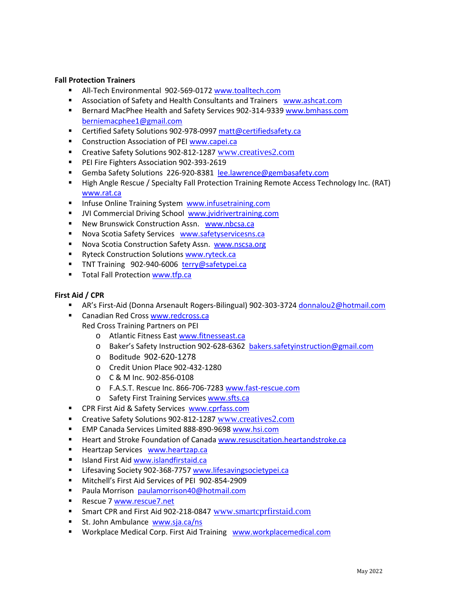## **Fall Protection Trainers**

- All-Tech Environmental 902-569-0172 [www.toalltech.com](http://www.toalltech.com/)
- Association of Safety and Health Consultants and Trainers [www.ashcat.com](http://www.ashcat.com/)
- **Bernard MacPhee Health and Safety Services 902-314-9339 www.bmhass.com** [berniemacphee1@gmail.com](mailto:berniemacphee1@gmail.com)
- Certified Safety Solutions 902-978-0997 [matt@certifiedsafety.ca](mailto:matt@certifiedsafety.ca)
- **EXECONSTRUCTION Association of PE[I www.capei.ca](http://www.capei.ca/)**
- Creative Safety Solutions 902-812-1287 [www.creatives2.com](http://www.creatives2/)
- **PEI Fire Fighters Association 902-393-2619**
- Gemba Safety Solutions 226-920-8381 [lee.lawrence@gembasafety.com](mailto:lee.lawrence@gembasafety.com)
- **High Angle Rescue / Specialty Fall Protection Training Remote Access Technology Inc. (RAT)** [www.rat.ca](http://www.rat.ca/)
- **Infuse Online Training System [www.infusetraining.com](http://www.infusetraining.com/)**
- **JVI Commercial Driving School [www.jvidrivertraining.com](http://www.jvidrivertraining.com/)**
- New Brunswick Construction Assn. [www.nbcsa.ca](http://www.nbcsa.ca/)
- Nova Scotia Safety Services [www.safetyservicesns.ca](http://www.safetyservicesns.ca/)
- Nova Scotia Construction Safety Assn. [www.nscsa.org](http://www.nscsa.org/)
- **Ryteck Construction Solutions [www.ryteck.ca](http://www.ryteck.ca/)**
- TNT Training 902-940-6006 [terry@safetypei.ca](mailto:terry@safetypei.ca)
- Total Fall Protectio[n www.tfp.ca](http://www.tfp.ca/)

#### **First Aid / CPR**

- AR's First-Aid (Donna Arsenault Rogers-Bilingual) 902-303-3724 [donnalou2@hotmail.com](mailto:donnalou2@hotmail.com)
- Canadian Red Cross [www.redcross.ca](http://www.redcross.ca/)
	- Red Cross Training Partners on PEI
		- o Atlantic Fitness Eas[t www.fitnesseast.ca](http://www.fitnesseast.ca/)
		- o Baker's Safety Instruction 902-628-6362 [bakers.safetyinstruction@gmail.com](mailto:bakers.safetyinstruction@gmail.com)
		- o Boditude 902-620-1278
		- o Credit Union Place 902-432-1280
		- o C & M Inc. 902-856-0108
		- o F.A.S.T. Rescue Inc. 866-706-7283 [www.fast-rescue.com](http://www.fast-rescue.com/)
		- o Safety First Training Service[s www.sfts.ca](http://www.sfts.ca/)
- **F** CPR First Aid & Safety Services [www.cprfass.com](http://www.cprfass.com/)
- Creative Safety Solutions 902-812-1287 [www.creatives2.com](http://www.creatives2/)
- **EMP Canada Services Limited 888-890-9698 [www.hsi.com](http://www.hsi.com/)**
- Heart and Stroke Foundation of Canada [www.resuscitation.heartandstroke.ca](http://www.resuscitation.heartandstroke.ca/)
- **Heartzap Services [www.heartzap.ca](http://www.heartzap.ca/)**
- Island First Aid [www.islandfirstaid.ca](http://www.islandfirstaid.ca/)
- **E** Lifesaving Society 902-368-7757 [www.lifesavingsocietypei.ca](http://www.lifesavingsocietypei.ca/)
- Mitchell's First Aid Services of PEI 902-854-2909
- Paula Morrison [paulamorrison40@hotmail.com](mailto:paulamorrison40@hotmail.com)
- Rescue 7 [www.rescue7.net](http://www.rescue7.net/)
- Smart CPR and First Aid 902-218-0847 www.smartcprfirstaid.com
- St. John Ambulance [www.sja.ca/ns](http://www.sja.ca/ns)
- **Workplace Medical Corp. First Aid Training [www.workplacemedical.com](http://www.workplacemedical.com/)**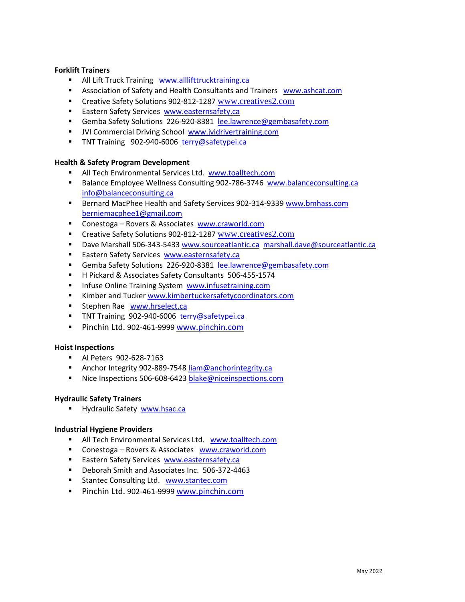## **Forklift Trainers**

- All Lift Truck Training [www.alllifttrucktraining.ca](http://www.alllifttrucktraining.ca/)
- Association of Safety and Health Consultants and Trainers [www.ashcat.com](http://www.ashcat.com/)
- Creative Safety Solutions 902-812-1287 [www.creatives2.com](http://www.creatives2/)
- **Eastern Safety Services [www.easternsafety.ca](http://www.easternsafety.ca/)**
- Gemba Safety Solutions 226-920-8381 [lee.lawrence@gembasafety.com](mailto:lee.lawrence@gembasafety.com)
- **JVI Commercial Driving School [www.jvidrivertraining.com](http://www.jvidrivertraining.com/)**
- TNT Training 902-940-6006 [terry@safetypei.ca](mailto:terry@safetypei.ca)

# **Health & Safety Program Development**

- All Tech Environmental Services Ltd. [www.toalltech.com](http://www.toalltech.com/)
- Balance Employee Wellness Consulting 902-786-3746 www.balanceconsulting.ca [info@balanceconsulting.ca](mailto:info@balanceconsulting.ca)
- Bernard MacPhee Health and Safety Services 902-314-9339 [www.bmhass.com](http://www.bmhass.com/)  [berniemacphee1@gmail.com](mailto:berniemacphee1@gmail.com)
- Conestoga Rovers & Associates [www.craworld.com](http://www.craworld.com/)
- Creative Safety Solutions 902-812-1287 [www.creatives2.com](http://www.creatives2/)
- Dave Marshall 506-343-5433 [www.sourceatlantic.ca](http://www.sourceatlantic.ca/) [marshall.dave@sourceatlantic.ca](mailto:marshall.dave@sourceatlantic.ca)
- **Eastern Safety Services [www.easternsafety.ca](http://www.easternsafety.ca/)**
- Gemba Safety Solutions 226-920-8381 [lee.lawrence@gembasafety.com](mailto:lee.lawrence@gembasafety.com)
- H Pickard & Associates Safety Consultants 506-455-1574
- **Infuse Online Training System [www.infusetraining.com](http://www.infusetraining.com/)**
- **Kimber and Tucke[r www.kimbertuckersafetycoordinators.com](http://www.kimbertuckersafetycoordinators.com/)**
- **Stephen Rae [www.hrselect.ca](http://www.hrselect.ca/)**
- TNT Training 902-940-6006 [terry@safetypei.ca](mailto:terry@safetypei.ca)
- **Pinchin Ltd. 902-461-9999 [www.pinchin.com](http://www.pinchin.com/)**

# **Hoist Inspections**

- Al Peters 902-628-7163
- Anchor Integrity 902-889-7548 [liam@anchorintegrity.ca](file://APPSRVR3/Shared_Data/OHS/Administration/liam@anchorintegrity.ca)
- Nice Inspections 506-608-642[3 blake@niceinspections.com](mailto:blake@niceinspections.com)

# **Hydraulic Safety Trainers**

Hydraulic Safety [www.hsac.ca](http://www.hsac.ca/)

# **Industrial Hygiene Providers**

- All Tech Environmental Services Ltd. [www.toalltech.com](http://www.toalltech.com/)
- Conestoga Rovers & Associates [www.craworld.com](http://www.craworld.com/)
- **Eastern Safety Services [www.easternsafety.ca](http://www.easternsafety.ca/)**
- Deborah Smith and Associates Inc. 506-372-4463
- **EXECUTE: Stantec Consulting Ltd. [www.stantec.com](http://www.stantec.com/)**
- **Pinchin Ltd. 902-461-9999 [www.pinchin.com](http://www.pinchin.com/)**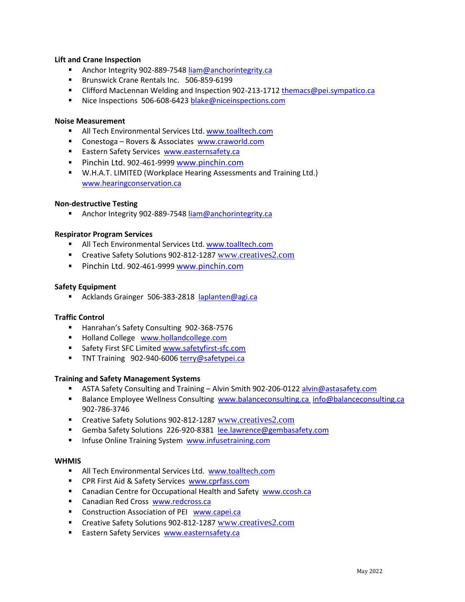## **Lift and Crane Inspection**

- Anchor Integrity 902-889-7548 [liam@anchorintegrity.ca](file://APPSRVR3/Shared_Data/OHS/Administration/liam@anchorintegrity.ca)
- Brunswick Crane Rentals Inc. 506-859-6199
- **EXECLIFEDE MACLESS IN ACCOMM** Cling and Inspection 902-213-1712 themacs@pei.sympatico.ca
- Nice Inspections 506-608-6423 [blake@niceinspections.com](mailto:blake@niceinspections.com)

# **Noise Measurement**

- All Tech Environmental Services Ltd. [www.toalltech.com](http://www.toalltech.com/)
- Conestoga Rovers & Associates [www.craworld.com](http://www.craworld.com/)
- **Eastern Safety Services [www.easternsafety.ca](http://www.easternsafety.ca/)**
- Pinchin Ltd. 902-461-9999 [www.pinchin.com](http://www.pinchin.com/)
- W.H.A.T. LIMITED (Workplace Hearing Assessments and Training Ltd.) [www.hearingconservation.ca](http://www.hearingconservation.ca/)

#### **Non-destructive Testing**

Anchor Integrity 902-889-7548 [liam@anchorintegrity.ca](file://APPSRVR3/Shared_Data/OHS/Administration/liam@anchorintegrity.ca)

#### **Respirator Program Services**

- All Tech Environmental Services Ltd. [www.toalltech.com](http://www.toalltech.com/)
- Creative Safety Solutions 902-812-1287 [www.creatives2.com](http://www.creatives2/)
- Pinchin Ltd. 902-461-9999 [www.pinchin.com](http://www.pinchin.com/)

#### **Safety Equipment**

Acklands Grainger 506-383-2818 [laplanten@agi.ca](mailto:%20laplanten@agi.ca)

#### **Traffic Control**

- Hanrahan's Safety Consulting 902-368-7576
- **Holland College [www.hollandcollege.com](http://www.hollandcollege.com/)**
- Safety First SFC Limite[d www.safetyfirst-sfc.com](http://www.safetyfirst-sfc.com/)
- TNT Training 902-940-6006 [terry@safetypei.ca](mailto:terry@safetypei.ca)

#### **Training and Safety Management Systems**

- **ASTA Safety Consulting and Training Alvin Smith 902-206-0122 alvin@astasafety.com**
- **Balance Employee Wellness Consulting [www.balanceconsulting.ca](http://www.balanceconsulting.ca/) info@balanceconsulting.ca** 902-786-3746
- Creative Safety Solutions 902-812-1287 [www.creatives2.com](http://www.creatives2/)
- Gemba Safety Solutions 226-920-8381 [lee.lawrence@gembasafety.com](mailto:lee.lawrence@gembasafety.com)
- **Infuse Online Training System [www.infusetraining.com](http://www.infusetraining.com/)**

#### **WHMIS**

- All Tech Environmental Services Ltd. [www.toalltech.com](http://www.toalltech.com/)
- **F** CPR First Aid & Safety Services [www.cprfass.com](http://www.cprfass.com/)
- **EXEC** Canadian Centre for Occupational Health and Safety [www.ccosh.ca](http://www.ccosh.ca/)
- Canadian Red Cross [www.redcross.ca](http://www.redcross.ca/)
- **EXECONSTRUCTION Association of PEI [www.capei.ca](http://www.capei.ca/)**
- Creative Safety Solutions 902-812-1287 [www.creatives2.com](http://www.creatives2/)
- **Eastern Safety Services [www.easternsafety.ca](http://www.easternsafety.ca/)**